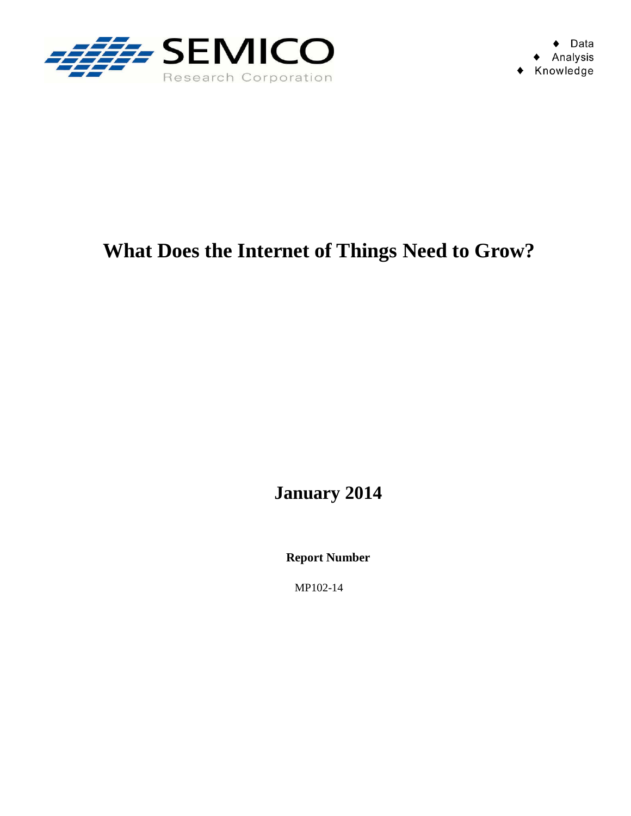

## **What Does the Internet of Things Need to Grow?**

**January 2014** 

**Report Number** 

MP102-14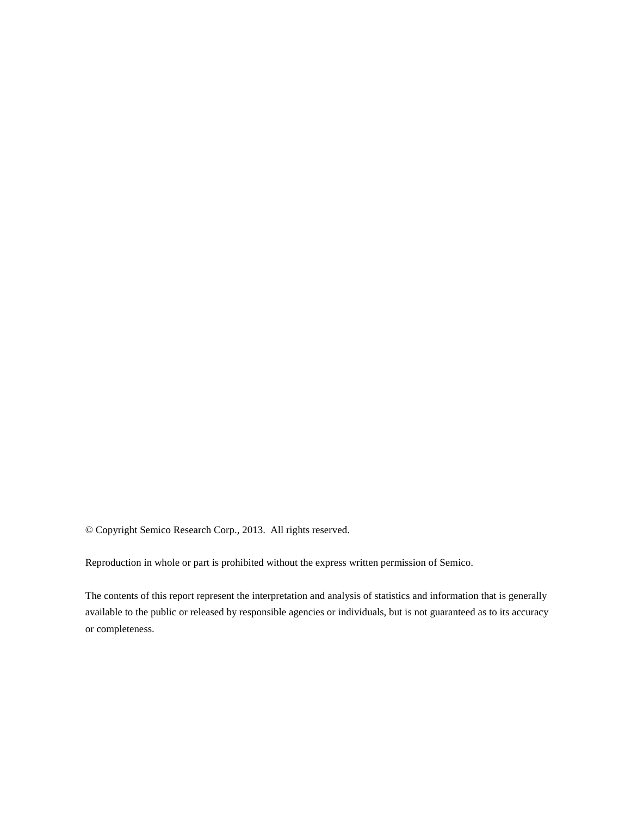© Copyright Semico Research Corp., 2013. All rights reserved.

Reproduction in whole or part is prohibited without the express written permission of Semico.

The contents of this report represent the interpretation and analysis of statistics and information that is generally available to the public or released by responsible agencies or individuals, but is not guaranteed as to its accuracy or completeness.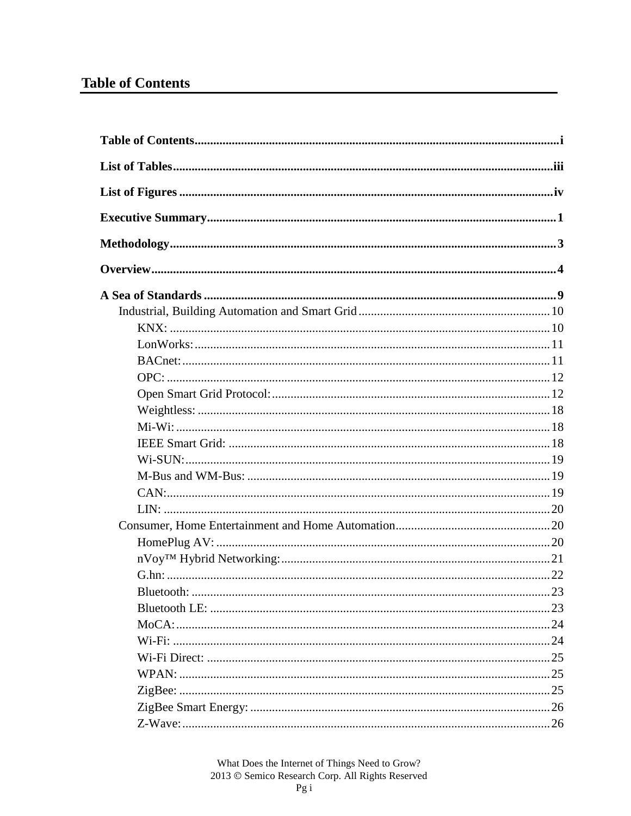## **Table of Contents**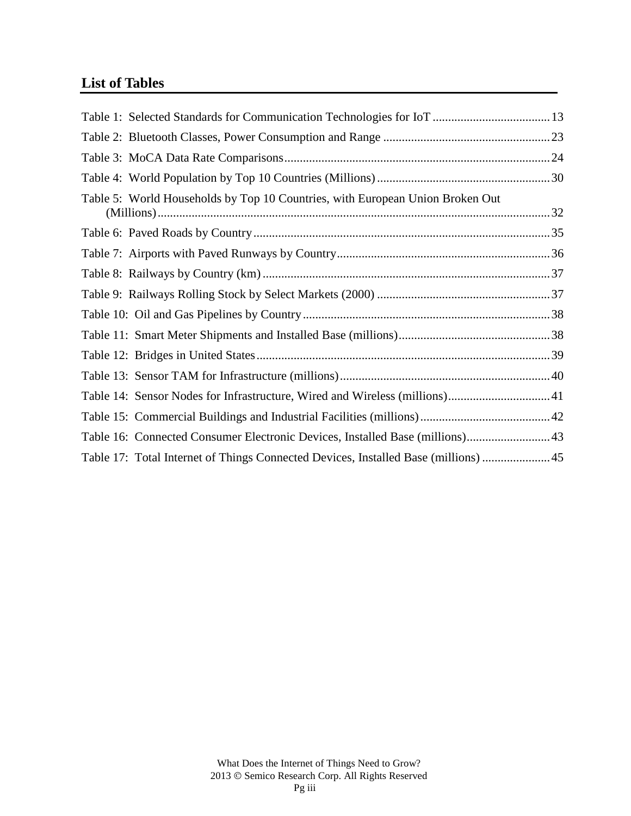## **List of Tables**

| Table 5: World Households by Top 10 Countries, with European Union Broken Out       |  |
|-------------------------------------------------------------------------------------|--|
|                                                                                     |  |
|                                                                                     |  |
|                                                                                     |  |
|                                                                                     |  |
|                                                                                     |  |
|                                                                                     |  |
|                                                                                     |  |
|                                                                                     |  |
| Table 14: Sensor Nodes for Infrastructure, Wired and Wireless (millions)41          |  |
|                                                                                     |  |
| Table 16: Connected Consumer Electronic Devices, Installed Base (millions) 43       |  |
| Table 17: Total Internet of Things Connected Devices, Installed Base (millions)  45 |  |